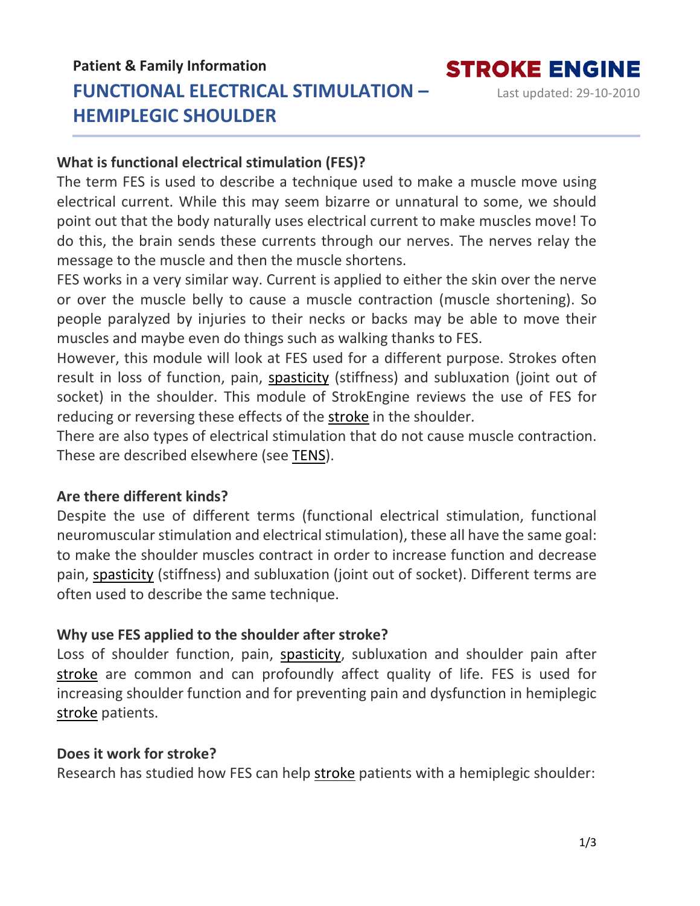# **Patient & Family Information FUNCTIONAL ELECTRICAL STIMULATION – HEMIPLEGIC SHOULDER**

Last updated: 29-10-2010

## **What is functional electrical stimulation (FES)?**

The term FES is used to describe a technique used to make a muscle move using electrical current. While this may seem bizarre or unnatural to some, we should point out that the body naturally uses electrical current to make muscles move! To do this, the brain sends these currents through our nerves. The nerves relay the message to the muscle and then the muscle shortens.

FES works in a very similar way. Current is applied to either the skin over the nerve or over the muscle belly to cause a muscle contraction (muscle shortening). So people paralyzed by injuries to their necks or backs may be able to move their muscles and maybe even do things such as walking thanks to FES.

However, this module will look at FES used for a different purpose. Strokes often result in loss of function, pain, [spasticity](https://www.strokengine.ca/en/glossary/spasticity/) (stiffness) and subluxation (joint out of socket) in the shoulder. This module of StrokEngine reviews the use of FES for reducing or reversing these effects of the [stroke](https://www.strokengine.ca/en/glossary/stroke/) in the shoulder.

There are also types of electrical stimulation that do not cause muscle contraction. These are described elsewhere (see [TENS\)](https://www.strokengine.ca/en/glossary/transcutaneous-electrical-nerve-stimulator-tens/).

# **Are there different kinds?**

Despite the use of different terms (functional electrical stimulation, functional neuromuscular stimulation and electrical stimulation), these all have the same goal: to make the shoulder muscles contract in order to increase function and decrease pain, [spasticity](https://www.strokengine.ca/en/glossary/spasticity/) (stiffness) and subluxation (joint out of socket). Different terms are often used to describe the same technique.

# **Why use FES applied to the shoulder after stroke?**

Loss of shoulder function, pain, [spasticity,](https://www.strokengine.ca/en/glossary/spasticity/) subluxation and shoulder pain after [stroke](https://www.strokengine.ca/en/glossary/stroke/) are common and can profoundly affect quality of life. FES is used for increasing shoulder function and for preventing pain and dysfunction in hemiplegic [stroke](https://www.strokengine.ca/en/glossary/stroke/) patients.

### **Does it work for stroke?**

Research has studied how FES can help [stroke](https://www.strokengine.ca/en/glossary/stroke/) patients with a hemiplegic shoulder: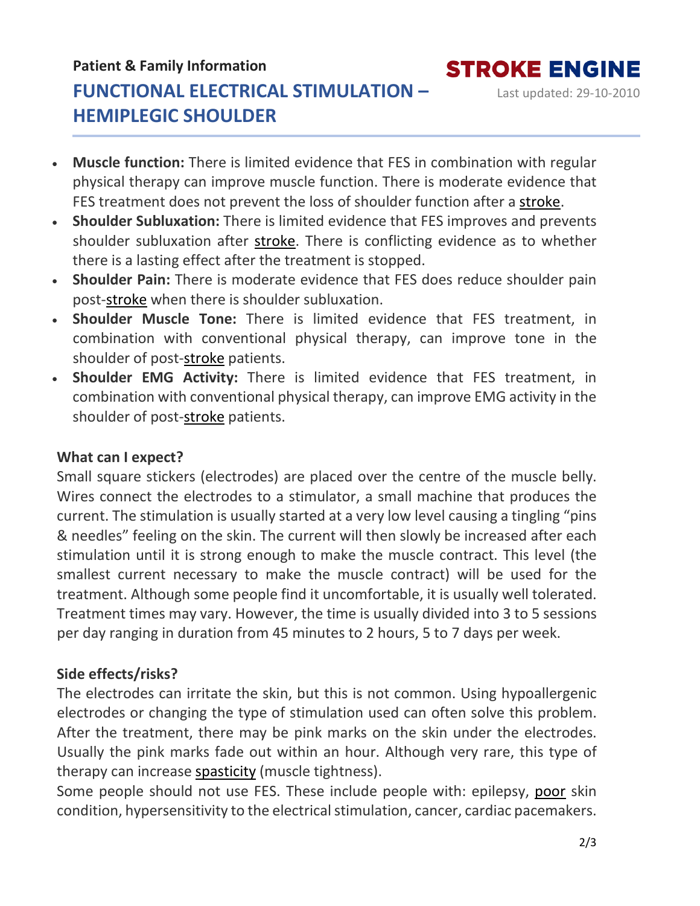# **Patient & Family Information FUNCTIONAL ELECTRICAL STIMULATION – HEMIPLEGIC SHOULDER**

Last updated: 29-10-2010

- **Muscle function:** There is limited evidence that FES in combination with regular physical therapy can improve muscle function. There is moderate evidence that FES treatment does not prevent the loss of shoulder function after a [stroke.](https://www.strokengine.ca/en/glossary/stroke/)
- **Shoulder Subluxation:** There is limited evidence that FES improves and prevents shoulder subluxation after [stroke.](https://www.strokengine.ca/en/glossary/stroke/) There is conflicting evidence as to whether there is a lasting effect after the treatment is stopped.
- **Shoulder Pain:** There is moderate evidence that FES does reduce shoulder pain post[-stroke](https://www.strokengine.ca/en/glossary/stroke/) when there is shoulder subluxation.
- **Shoulder Muscle Tone:** There is limited evidence that FES treatment, in combination with conventional physical therapy, can improve tone in the shoulder of post[-stroke](https://www.strokengine.ca/en/glossary/stroke/) patients.
- **Shoulder EMG Activity:** There is limited evidence that FES treatment, in combination with conventional physical therapy, can improve EMG activity in the shoulder of post[-stroke](https://www.strokengine.ca/en/glossary/stroke/) patients.

# **What can I expect?**

Small square stickers (electrodes) are placed over the centre of the muscle belly. Wires connect the electrodes to a stimulator, a small machine that produces the current. The stimulation is usually started at a very low level causing a tingling "pins & needles" feeling on the skin. The current will then slowly be increased after each stimulation until it is strong enough to make the muscle contract. This level (the smallest current necessary to make the muscle contract) will be used for the treatment. Although some people find it uncomfortable, it is usually well tolerated. Treatment times may vary. However, the time is usually divided into 3 to 5 sessions per day ranging in duration from 45 minutes to 2 hours, 5 to 7 days per week.

# **Side effects/risks?**

The electrodes can irritate the skin, but this is not common. Using hypoallergenic electrodes or changing the type of stimulation used can often solve this problem. After the treatment, there may be pink marks on the skin under the electrodes. Usually the pink marks fade out within an hour. Although very rare, this type of therapy can increase [spasticity](https://www.strokengine.ca/en/glossary/spasticity/) (muscle tightness).

Some people should not use FES. These include people with: epilepsy, [poor](https://www.strokengine.ca/en/glossary/pedro-score/) skin condition, hypersensitivity to the electrical stimulation, cancer, cardiac pacemakers.